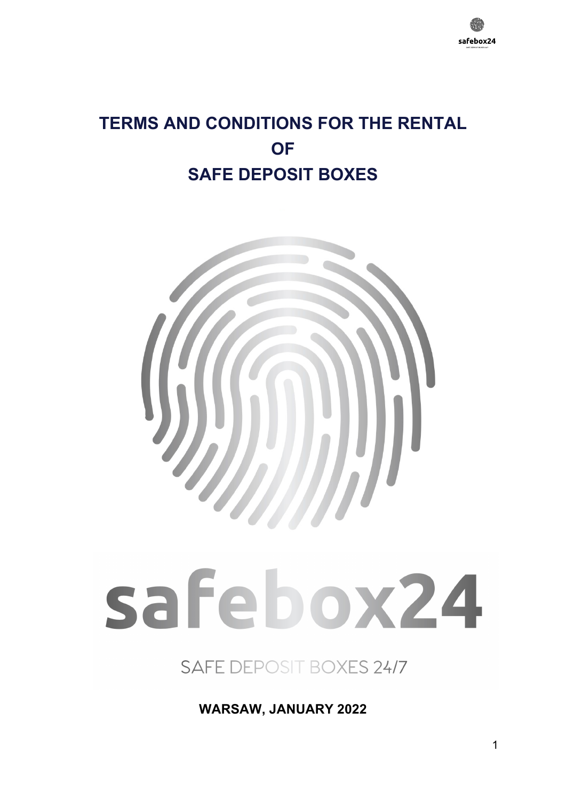

# **TERMS AND CONDITIONS FOR THE RENTAL OF SAFE DEPOSIT BOXES**



# safebox24

SAFE DEPOSIT BOXES 24/7

**WARSAW, JANUARY 2022**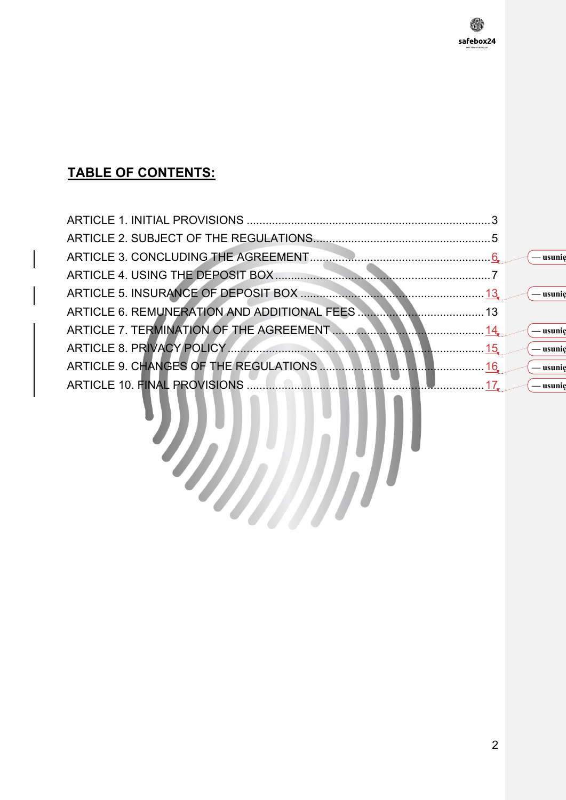# **TABLE OF CONTENTS:**

| ARTICLE 5. INSURANCE OF DEPOSIT BOX <b>CONSUMERS 2006</b> 13 C — usunig |            |
|-------------------------------------------------------------------------|------------|
|                                                                         |            |
|                                                                         | — usunie   |
|                                                                         | — usunie   |
|                                                                         | $-$ usunie |
|                                                                         | — usunie   |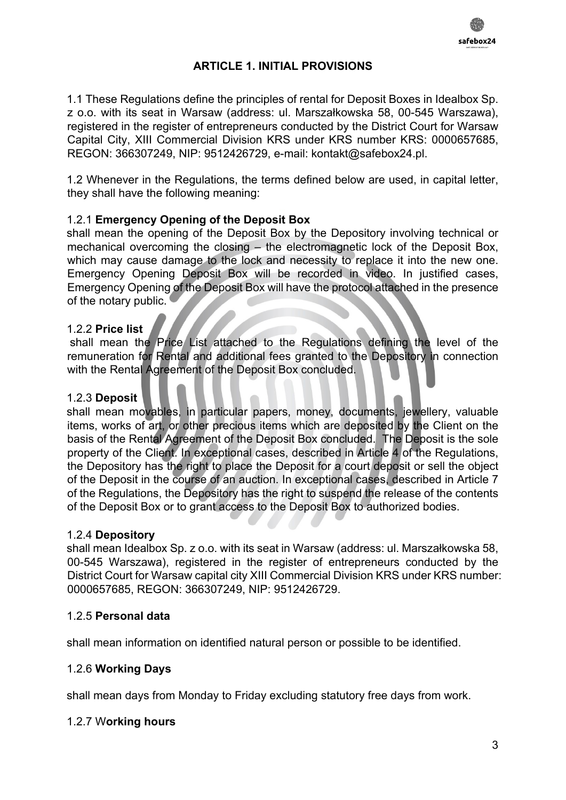

#### **ARTICLE 1. INITIAL PROVISIONS**

1.1 These Regulations define the principles of rental for Deposit Boxes in Idealbox Sp. z o.o. with its seat in Warsaw (address: ul. Marszałkowska 58, 00-545 Warszawa), registered in the register of entrepreneurs conducted by the District Court for Warsaw Capital City, XIII Commercial Division KRS under KRS number KRS: 0000657685, REGON: 366307249, NIP: 9512426729, e-mail: kontakt@safebox24.pl.

1.2 Whenever in the Regulations, the terms defined below are used, in capital letter, they shall have the following meaning:

#### 1.2.1 **Emergency Opening of the Deposit Box**

shall mean the opening of the Deposit Box by the Depository involving technical or mechanical overcoming the closing – the electromagnetic lock of the Deposit Box, which may cause damage to the lock and necessity to replace it into the new one. Emergency Opening Deposit Box will be recorded in video. In justified cases, Emergency Opening of the Deposit Box will have the protocol attached in the presence of the notary public.

#### 1.2.2 **Price list**

shall mean the Price List attached to the Regulations defining the level of the remuneration for Rental and additional fees granted to the Depository in connection with the Rental Agreement of the Deposit Box concluded.

#### 1.2.3 **Deposit**

shall mean movables, in particular papers, money, documents, jewellery, valuable items, works of art, or other precious items which are deposited by the Client on the basis of the Rental Agreement of the Deposit Box concluded. The Deposit is the sole property of the Client. In exceptional cases, described in Article 4 of the Regulations, the Depository has the right to place the Deposit for a court deposit or sell the object of the Deposit in the course of an auction. In exceptional cases, described in Article 7 of the Regulations, the Depository has the right to suspend the release of the contents of the Deposit Box or to grant access to the Deposit Box to authorized bodies.

#### 1.2.4 **Depository**

shall mean Idealbox Sp. z o.o. with its seat in Warsaw (address: ul. Marszałkowska 58, 00-545 Warszawa), registered in the register of entrepreneurs conducted by the District Court for Warsaw capital city XIII Commercial Division KRS under KRS number: 0000657685, REGON: 366307249, NIP: 9512426729.

#### 1.2.5 **Personal data**

shall mean information on identified natural person or possible to be identified.

#### 1.2.6 **Working Days**

shall mean days from Monday to Friday excluding statutory free days from work.

#### 1.2.7 W**orking hours**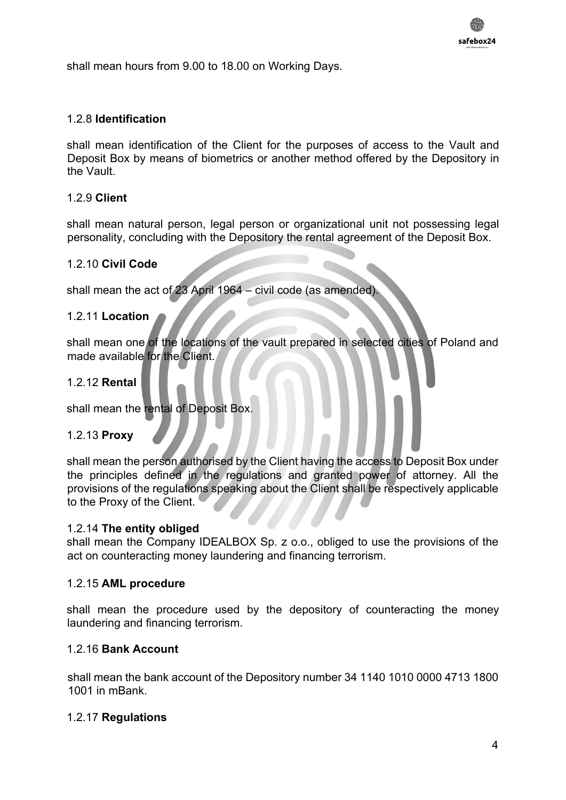shall mean hours from 9.00 to 18.00 on Working Days.

#### 1.2.8 **Identification**

shall mean identification of the Client for the purposes of access to the Vault and Deposit Box by means of biometrics or another method offered by the Depository in the Vault.

#### 1.2.9 **Client**

shall mean natural person, legal person or organizational unit not possessing legal personality, concluding with the Depository the rental agreement of the Deposit Box.

#### 1.2.10 **Civil Code**

shall mean the act of 23 April 1964 – civil code (as amended).

#### 1.2.11 **Location**

shall mean one of the locations of the vault prepared in selected cities of Poland and made available for the Client.

#### 1.2.12 **Rental**

shall mean the rental of Deposit Box.

#### 1.2.13 **Proxy**

shall mean the person authorised by the Client having the access to Deposit Box under the principles defined in the regulations and granted power of attorney. All the provisions of the regulations speaking about the Client shall be respectively applicable to the Proxy of the Client.

#### 1.2.14 **The entity obliged**

shall mean the Company IDEALBOX Sp. z o.o., obliged to use the provisions of the act on counteracting money laundering and financing terrorism.

#### 1.2.15 **AML procedure**

shall mean the procedure used by the depository of counteracting the money laundering and financing terrorism.

#### 1.2.16 **Bank Account**

shall mean the bank account of the Depository number 34 1140 1010 0000 4713 1800 1001 in mBank.

#### 1.2.17 **Regulations**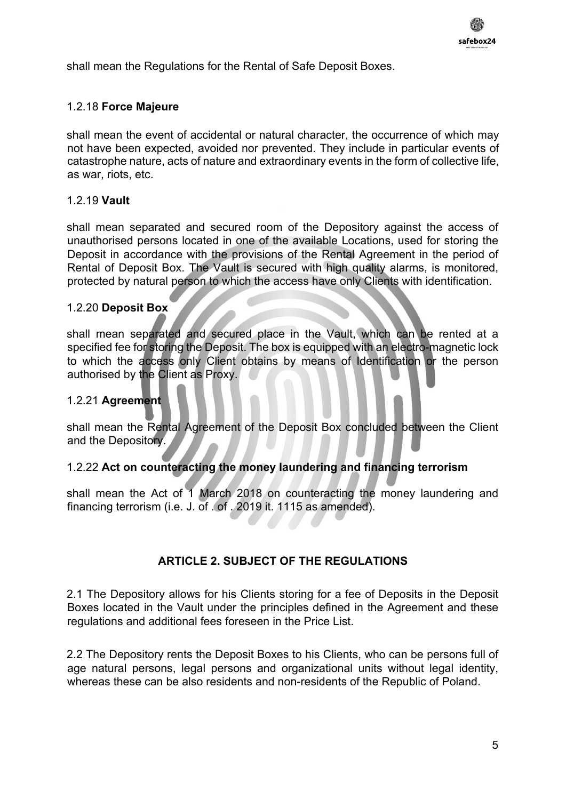

shall mean the Regulations for the Rental of Safe Deposit Boxes.

#### 1.2.18 **Force Majeure**

shall mean the event of accidental or natural character, the occurrence of which may not have been expected, avoided nor prevented. They include in particular events of catastrophe nature, acts of nature and extraordinary events in the form of collective life, as war, riots, etc.

#### 1.2.19 **Vault**

shall mean separated and secured room of the Depository against the access of unauthorised persons located in one of the available Locations, used for storing the Deposit in accordance with the provisions of the Rental Agreement in the period of Rental of Deposit Box. The Vault is secured with high quality alarms, is monitored, protected by natural person to which the access have only Clients with identification.

#### 1.2.20 **Deposit Box**

shall mean separated and secured place in the Vault, which can be rented at a specified fee for storing the Deposit. The box is equipped with an electro-magnetic lock to which the access only Client obtains by means of Identification or the person authorised by the Client as Proxy.

#### 1.2.21 **Agreement**

shall mean the Rental Agreement of the Deposit Box concluded between the Client and the Depository.

#### 1.2.22 **Act on counteracting the money laundering and financing terrorism**

shall mean the Act of 1 March 2018 on counteracting the money laundering and financing terrorism (i.e. J. of . of . 2019 it. 1115 as amended).

#### **ARTICLE 2. SUBJECT OF THE REGULATIONS**

2.1 The Depository allows for his Clients storing for a fee of Deposits in the Deposit Boxes located in the Vault under the principles defined in the Agreement and these regulations and additional fees foreseen in the Price List.

2.2 The Depository rents the Deposit Boxes to his Clients, who can be persons full of age natural persons, legal persons and organizational units without legal identity, whereas these can be also residents and non-residents of the Republic of Poland.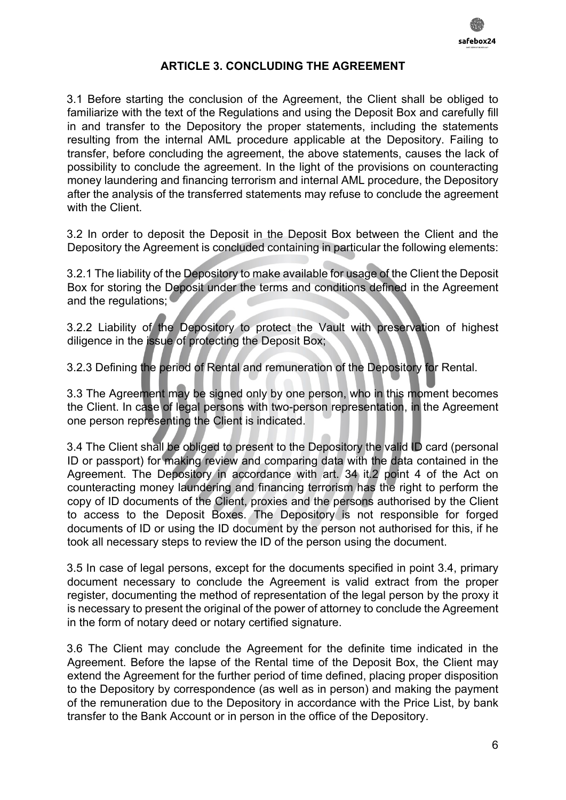

#### **ARTICLE 3. CONCLUDING THE AGREEMENT**

3.1 Before starting the conclusion of the Agreement, the Client shall be obliged to familiarize with the text of the Regulations and using the Deposit Box and carefully fill in and transfer to the Depository the proper statements, including the statements resulting from the internal AML procedure applicable at the Depository. Failing to transfer, before concluding the agreement, the above statements, causes the lack of possibility to conclude the agreement. In the light of the provisions on counteracting money laundering and financing terrorism and internal AML procedure, the Depository after the analysis of the transferred statements may refuse to conclude the agreement with the Client.

3.2 In order to deposit the Deposit in the Deposit Box between the Client and the Depository the Agreement is concluded containing in particular the following elements:

3.2.1 The liability of the Depository to make available for usage of the Client the Deposit Box for storing the Deposit under the terms and conditions defined in the Agreement and the regulations;

3.2.2 Liability of the Depository to protect the Vault with preservation of highest diligence in the issue of protecting the Deposit Box;

3.2.3 Defining the period of Rental and remuneration of the Depository for Rental.

3.3 The Agreement may be signed only by one person, who in this moment becomes the Client. In case of legal persons with two-person representation, in the Agreement one person representing the Client is indicated.

3.4 The Client shall be obliged to present to the Depository the valid ID card (personal ID or passport) for making review and comparing data with the data contained in the Agreement. The Depository in accordance with art. 34 it.2 point 4 of the Act on counteracting money laundering and financing terrorism has the right to perform the copy of ID documents of the Client, proxies and the persons authorised by the Client to access to the Deposit Boxes. The Depository is not responsible for forged documents of ID or using the ID document by the person not authorised for this, if he took all necessary steps to review the ID of the person using the document.

3.5 In case of legal persons, except for the documents specified in point 3.4, primary document necessary to conclude the Agreement is valid extract from the proper register, documenting the method of representation of the legal person by the proxy it is necessary to present the original of the power of attorney to conclude the Agreement in the form of notary deed or notary certified signature.

3.6 The Client may conclude the Agreement for the definite time indicated in the Agreement. Before the lapse of the Rental time of the Deposit Box, the Client may extend the Agreement for the further period of time defined, placing proper disposition to the Depository by correspondence (as well as in person) and making the payment of the remuneration due to the Depository in accordance with the Price List, by bank transfer to the Bank Account or in person in the office of the Depository.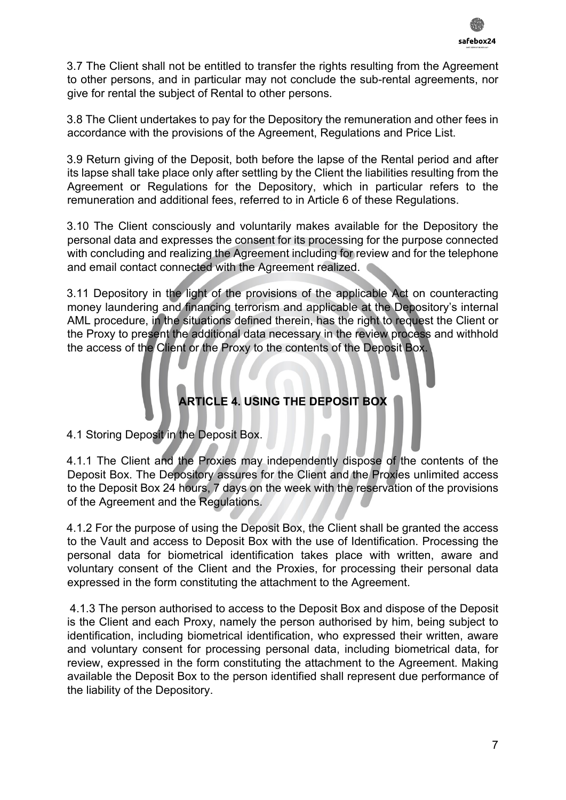3.7 The Client shall not be entitled to transfer the rights resulting from the Agreement to other persons, and in particular may not conclude the sub-rental agreements, nor give for rental the subject of Rental to other persons.

3.8 The Client undertakes to pay for the Depository the remuneration and other fees in accordance with the provisions of the Agreement, Regulations and Price List.

3.9 Return giving of the Deposit, both before the lapse of the Rental period and after its lapse shall take place only after settling by the Client the liabilities resulting from the Agreement or Regulations for the Depository, which in particular refers to the remuneration and additional fees, referred to in Article 6 of these Regulations.

3.10 The Client consciously and voluntarily makes available for the Depository the personal data and expresses the consent for its processing for the purpose connected with concluding and realizing the Agreement including for review and for the telephone and email contact connected with the Agreement realized.

3.11 Depository in the light of the provisions of the applicable Act on counteracting money laundering and financing terrorism and applicable at the Depository's internal AML procedure, in the situations defined therein, has the right to request the Client or the Proxy to present the additional data necessary in the review process and withhold the access of the Client or the Proxy to the contents of the Deposit Box.

# **ARTICLE 4. USING THE DEPOSIT BOX**

4.1 Storing Deposit in the Deposit Box.

4.1.1 The Client and the Proxies may independently dispose of the contents of the Deposit Box. The Depository assures for the Client and the Proxies unlimited access to the Deposit Box 24 hours, 7 days on the week with the reservation of the provisions of the Agreement and the Regulations.

4.1.2 For the purpose of using the Deposit Box, the Client shall be granted the access to the Vault and access to Deposit Box with the use of Identification. Processing the personal data for biometrical identification takes place with written, aware and voluntary consent of the Client and the Proxies, for processing their personal data expressed in the form constituting the attachment to the Agreement.

4.1.3 The person authorised to access to the Deposit Box and dispose of the Deposit is the Client and each Proxy, namely the person authorised by him, being subject to identification, including biometrical identification, who expressed their written, aware and voluntary consent for processing personal data, including biometrical data, for review, expressed in the form constituting the attachment to the Agreement. Making available the Deposit Box to the person identified shall represent due performance of the liability of the Depository.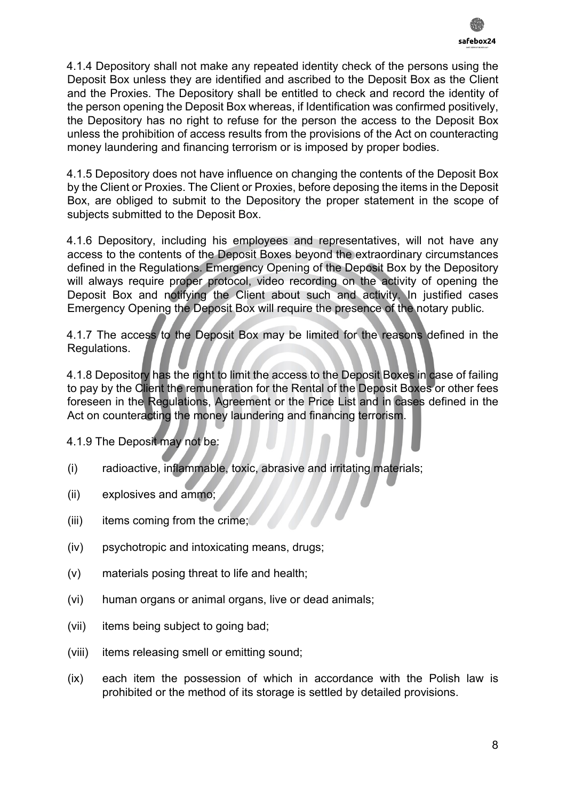4.1.4 Depository shall not make any repeated identity check of the persons using the Deposit Box unless they are identified and ascribed to the Deposit Box as the Client and the Proxies. The Depository shall be entitled to check and record the identity of the person opening the Deposit Box whereas, if Identification was confirmed positively, the Depository has no right to refuse for the person the access to the Deposit Box unless the prohibition of access results from the provisions of the Act on counteracting money laundering and financing terrorism or is imposed by proper bodies.

4.1.5 Depository does not have influence on changing the contents of the Deposit Box by the Client or Proxies. The Client or Proxies, before deposing the items in the Deposit Box, are obliged to submit to the Depository the proper statement in the scope of subjects submitted to the Deposit Box.

4.1.6 Depository, including his employees and representatives, will not have any access to the contents of the Deposit Boxes beyond the extraordinary circumstances defined in the Regulations. Emergency Opening of the Deposit Box by the Depository will always require proper protocol, video recording on the activity of opening the Deposit Box and notifying the Client about such and activity. In justified cases Emergency Opening the Deposit Box will require the presence of the notary public.

4.1.7 The access to the Deposit Box may be limited for the reasons defined in the Regulations.

4.1.8 Depository has the right to limit the access to the Deposit Boxes in case of failing to pay by the Client the remuneration for the Rental of the Deposit Boxes or other fees foreseen in the Regulations, Agreement or the Price List and in cases defined in the Act on counteracting the money laundering and financing terrorism.

4.1.9 The Deposit may not be:

- (i) radioactive, inflammable, toxic, abrasive and irritating materials;
- (ii) explosives and ammo;
- (iii) items coming from the crime;
- (iv) psychotropic and intoxicating means, drugs;
- (v) materials posing threat to life and health;
- (vi) human organs or animal organs, live or dead animals;
- (vii) items being subject to going bad;
- (viii) items releasing smell or emitting sound;
- (ix) each item the possession of which in accordance with the Polish law is prohibited or the method of its storage is settled by detailed provisions.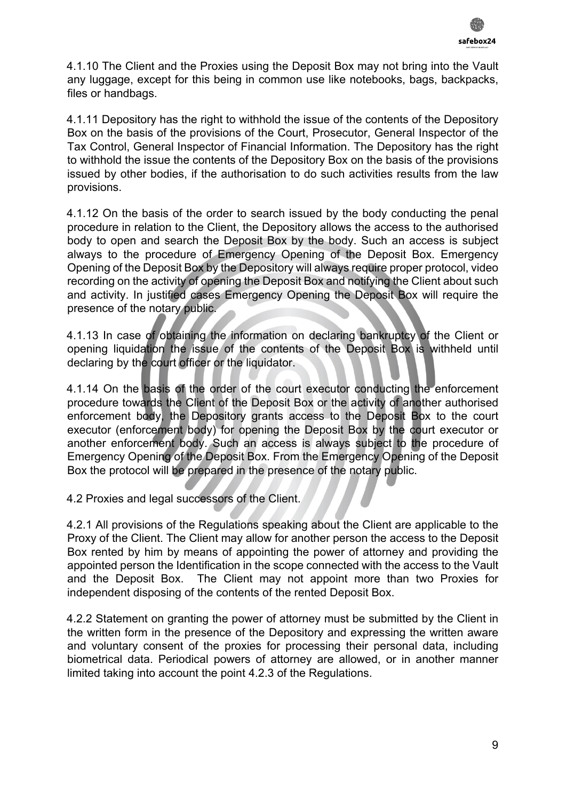

4.1.10 The Client and the Proxies using the Deposit Box may not bring into the Vault any luggage, except for this being in common use like notebooks, bags, backpacks, files or handbags.

4.1.11 Depository has the right to withhold the issue of the contents of the Depository Box on the basis of the provisions of the Court, Prosecutor, General Inspector of the Tax Control, General Inspector of Financial Information. The Depository has the right to withhold the issue the contents of the Depository Box on the basis of the provisions issued by other bodies, if the authorisation to do such activities results from the law provisions.

4.1.12 On the basis of the order to search issued by the body conducting the penal procedure in relation to the Client, the Depository allows the access to the authorised body to open and search the Deposit Box by the body. Such an access is subject always to the procedure of Emergency Opening of the Deposit Box. Emergency Opening of the Deposit Box by the Depository will always require proper protocol, video recording on the activity of opening the Deposit Box and notifying the Client about such and activity. In justified cases Emergency Opening the Deposit Box will require the presence of the notary public.

4.1.13 In case of obtaining the information on declaring bankruptcy of the Client or opening liquidation the issue of the contents of the Deposit Box is withheld until declaring by the court officer or the liquidator.

4.1.14 On the basis of the order of the court executor conducting the enforcement procedure towards the Client of the Deposit Box or the activity of another authorised enforcement body, the Depository grants access to the Deposit Box to the court executor (enforcement body) for opening the Deposit Box by the court executor or another enforcement body. Such an access is always subject to the procedure of Emergency Opening of the Deposit Box. From the Emergency Opening of the Deposit Box the protocol will be prepared in the presence of the notary public.

4.2 Proxies and legal successors of the Client.

4.2.1 All provisions of the Regulations speaking about the Client are applicable to the Proxy of the Client. The Client may allow for another person the access to the Deposit Box rented by him by means of appointing the power of attorney and providing the appointed person the Identification in the scope connected with the access to the Vault and the Deposit Box. The Client may not appoint more than two Proxies for independent disposing of the contents of the rented Deposit Box.

4.2.2 Statement on granting the power of attorney must be submitted by the Client in the written form in the presence of the Depository and expressing the written aware and voluntary consent of the proxies for processing their personal data, including biometrical data. Periodical powers of attorney are allowed, or in another manner limited taking into account the point 4.2.3 of the Regulations.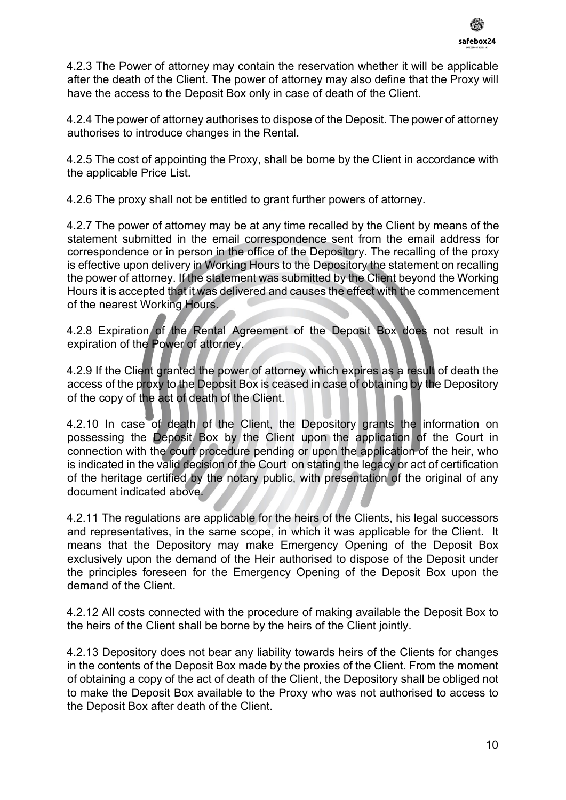

4.2.3 The Power of attorney may contain the reservation whether it will be applicable after the death of the Client. The power of attorney may also define that the Proxy will have the access to the Deposit Box only in case of death of the Client.

4.2.4 The power of attorney authorises to dispose of the Deposit. The power of attorney authorises to introduce changes in the Rental.

4.2.5 The cost of appointing the Proxy, shall be borne by the Client in accordance with the applicable Price List.

4.2.6 The proxy shall not be entitled to grant further powers of attorney.

4.2.7 The power of attorney may be at any time recalled by the Client by means of the statement submitted in the email correspondence sent from the email address for correspondence or in person in the office of the Depository. The recalling of the proxy is effective upon delivery in Working Hours to the Depository the statement on recalling the power of attorney. If the statement was submitted by the Client beyond the Working Hours it is accepted that it was delivered and causes the effect with the commencement of the nearest Working Hours.

4.2.8 Expiration of the Rental Agreement of the Deposit Box does not result in expiration of the Power of attorney.

4.2.9 If the Client granted the power of attorney which expires as a result of death the access of the proxy to the Deposit Box is ceased in case of obtaining by the Depository of the copy of the act of death of the Client.

4.2.10 In case of death of the Client, the Depository grants the information on possessing the Deposit Box by the Client upon the application of the Court in connection with the court procedure pending or upon the application of the heir, who is indicated in the valid decision of the Court on stating the legacy or act of certification of the heritage certified by the notary public, with presentation of the original of any document indicated above.

4.2.11 The regulations are applicable for the heirs of the Clients, his legal successors and representatives, in the same scope, in which it was applicable for the Client. It means that the Depository may make Emergency Opening of the Deposit Box exclusively upon the demand of the Heir authorised to dispose of the Deposit under the principles foreseen for the Emergency Opening of the Deposit Box upon the demand of the Client.

4.2.12 All costs connected with the procedure of making available the Deposit Box to the heirs of the Client shall be borne by the heirs of the Client jointly.

4.2.13 Depository does not bear any liability towards heirs of the Clients for changes in the contents of the Deposit Box made by the proxies of the Client. From the moment of obtaining a copy of the act of death of the Client, the Depository shall be obliged not to make the Deposit Box available to the Proxy who was not authorised to access to the Deposit Box after death of the Client.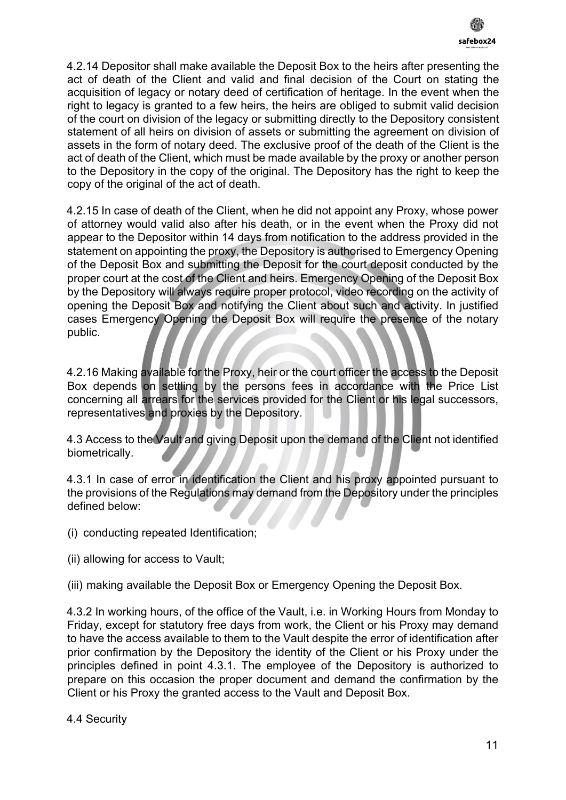

4.2.14 Depositor shall make available the Deposit Box to the heirs after presenting the act of death of the Client and valid and final decision of the Court on stating the acquisition of legacy or notary deed of certification of heritage. In the event when the right to legacy is granted to a few heirs, the heirs are obliged to submit valid decision of the court on division of the legacy or submitting directly to the Depository consistent statement of all heirs on division of assets or submitting the agreement on division of assets in the form of notary deed. The exclusive proof of the death of the Client is the act of death of the Client, which must be made available by the proxy or another person to the Depository in the copy of the original. The Depository has the right to keep the copy of the original of the act of death.

4.2.15 In case of death of the Client, when he did not appoint any Proxy, whose power of attorney would valid also after his death, or in the event when the Proxy did not appear to the Depositor within 14 days from notification to the address provided in the statement on appointing the proxy, the Depository is authorised to Emergency Opening of the Deposit Box and submitting the Deposit for the court deposit conducted by the proper court at the cost of the Client and heirs. Emergency Opening of the Deposit Box by the Depository will always require proper protocol, video recording on the activity of opening the Deposit Box and notifying the Client about such and activity. In justified cases Emergency Opening the Deposit Box will require the presence of the notary public.

4.2.16 Making available for the Proxy, heir or the court officer the access to the Deposit Box depends on settling by the persons fees in accordance with the Price List concerning all arrears for the services provided for the Client or his legal successors, representatives and proxies by the Depository.

4.3 Access to the Vault and giving Deposit upon the demand of the Client not identified biometrically.

4.3.1 In case of error in identification the Client and his proxy appointed pursuant to the provisions of the Regulations may demand from the Depository under the principles defined below:

- (i) conducting repeated Identification;
- (ii) allowing for access to Vault;

(iii) making available the Deposit Box or Emergency Opening the Deposit Box.

4.3.2 In working hours, of the office of the Vault, i.e. in Working Hours from Monday to Friday, except for statutory free days from work, the Client or his Proxy may demand to have the access available to them to the Vault despite the error of identification after prior confirmation by the Depository the identity of the Client or his Proxy under the principles defined in point 4.3.1. The employee of the Depository is authorized to prepare on this occasion the proper document and demand the confirmation by the Client or his Proxy the granted access to the Vault and Deposit Box.

#### 4.4 Security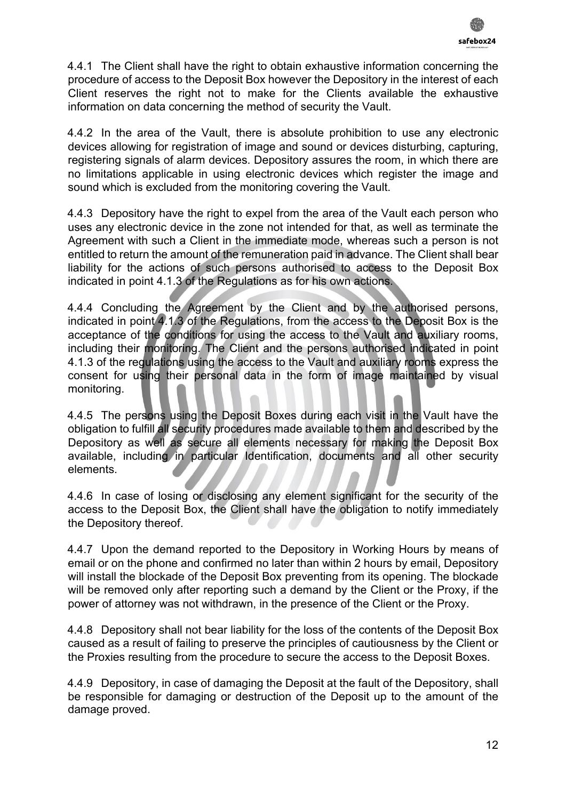4.4.1 The Client shall have the right to obtain exhaustive information concerning the procedure of access to the Deposit Box however the Depository in the interest of each Client reserves the right not to make for the Clients available the exhaustive information on data concerning the method of security the Vault.

4.4.2 In the area of the Vault, there is absolute prohibition to use any electronic devices allowing for registration of image and sound or devices disturbing, capturing, registering signals of alarm devices. Depository assures the room, in which there are no limitations applicable in using electronic devices which register the image and sound which is excluded from the monitoring covering the Vault.

4.4.3 Depository have the right to expel from the area of the Vault each person who uses any electronic device in the zone not intended for that, as well as terminate the Agreement with such a Client in the immediate mode, whereas such a person is not entitled to return the amount of the remuneration paid in advance. The Client shall bear liability for the actions of such persons authorised to access to the Deposit Box indicated in point 4.1.3 of the Regulations as for his own actions.

4.4.4 Concluding the Agreement by the Client and by the authorised persons, indicated in point 4.1.3 of the Regulations, from the access to the Deposit Box is the acceptance of the conditions for using the access to the Vault and auxiliary rooms, including their monitoring. The Client and the persons authorised indicated in point 4.1.3 of the regulations using the access to the Vault and auxiliary rooms express the consent for using their personal data in the form of image maintained by visual monitoring.

4.4.5 The persons using the Deposit Boxes during each visit in the Vault have the obligation to fulfill all security procedures made available to them and described by the Depository as well as secure all elements necessary for making the Deposit Box available, including in particular Identification, documents and all other security elements.

4.4.6 In case of losing or disclosing any element significant for the security of the access to the Deposit Box, the Client shall have the obligation to notify immediately the Depository thereof.

4.4.7 Upon the demand reported to the Depository in Working Hours by means of email or on the phone and confirmed no later than within 2 hours by email, Depository will install the blockade of the Deposit Box preventing from its opening. The blockade will be removed only after reporting such a demand by the Client or the Proxy, if the power of attorney was not withdrawn, in the presence of the Client or the Proxy.

4.4.8 Depository shall not bear liability for the loss of the contents of the Deposit Box caused as a result of failing to preserve the principles of cautiousness by the Client or the Proxies resulting from the procedure to secure the access to the Deposit Boxes.

4.4.9 Depository, in case of damaging the Deposit at the fault of the Depository, shall be responsible for damaging or destruction of the Deposit up to the amount of the damage proved.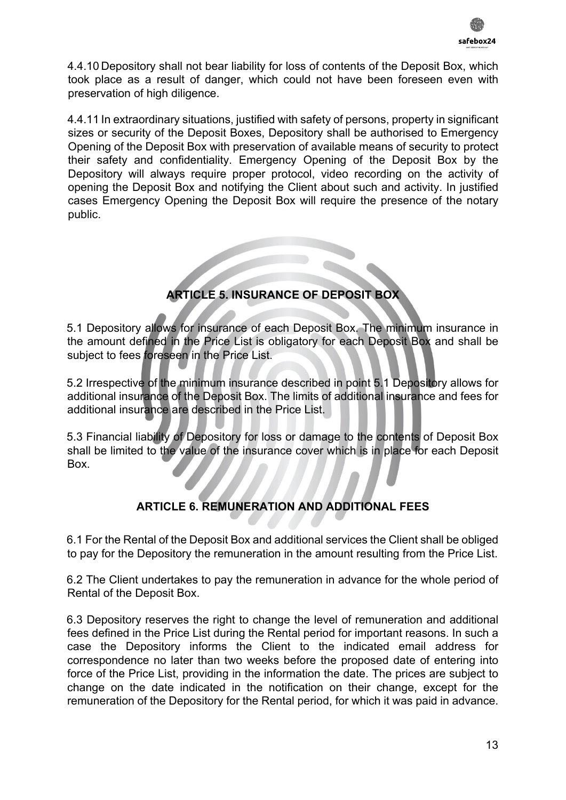

4.4.10 Depository shall not bear liability for loss of contents of the Deposit Box, which took place as a result of danger, which could not have been foreseen even with preservation of high diligence.

4.4.11 In extraordinary situations, justified with safety of persons, property in significant sizes or security of the Deposit Boxes, Depository shall be authorised to Emergency Opening of the Deposit Box with preservation of available means of security to protect their safety and confidentiality. Emergency Opening of the Deposit Box by the Depository will always require proper protocol, video recording on the activity of opening the Deposit Box and notifying the Client about such and activity. In justified cases Emergency Opening the Deposit Box will require the presence of the notary public.



5.1 Depository allows for insurance of each Deposit Box. The minimum insurance in the amount defined in the Price List is obligatory for each Deposit Box and shall be subject to fees foreseen in the Price List.

5.2 Irrespective of the minimum insurance described in point 5.1 Depository allows for additional insurance of the Deposit Box. The limits of additional insurance and fees for additional insurance are described in the Price List.

5.3 Financial liability of Depository for loss or damage to the contents of Deposit Box shall be limited to the value of the insurance cover which is in place for each Deposit Box.

### **ARTICLE 6. REMUNERATION AND ADDITIONAL FEES**

6.1 For the Rental of the Deposit Box and additional services the Client shall be obliged to pay for the Depository the remuneration in the amount resulting from the Price List.

6.2 The Client undertakes to pay the remuneration in advance for the whole period of Rental of the Deposit Box.

6.3 Depository reserves the right to change the level of remuneration and additional fees defined in the Price List during the Rental period for important reasons. In such a case the Depository informs the Client to the indicated email address for correspondence no later than two weeks before the proposed date of entering into force of the Price List, providing in the information the date. The prices are subject to change on the date indicated in the notification on their change, except for the remuneration of the Depository for the Rental period, for which it was paid in advance.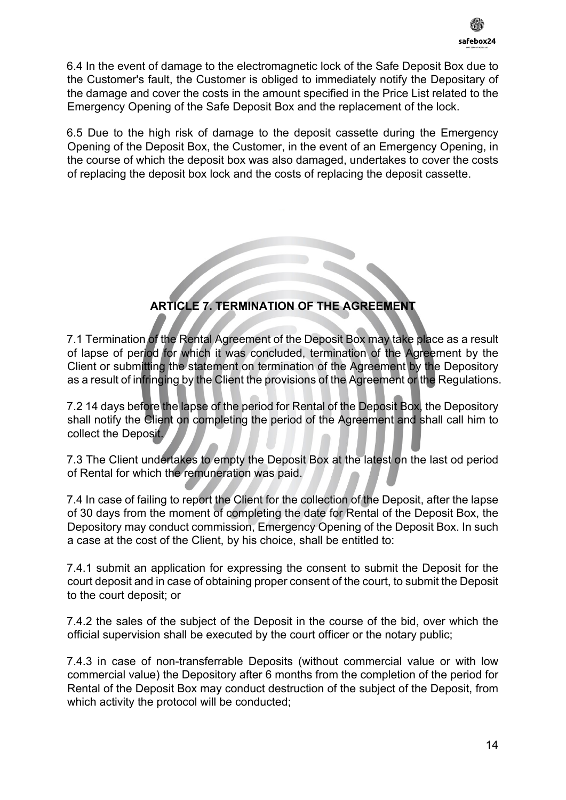6.4 In the event of damage to the electromagnetic lock of the Safe Deposit Box due to the Customer's fault, the Customer is obliged to immediately notify the Depositary of the damage and cover the costs in the amount specified in the Price List related to the Emergency Opening of the Safe Deposit Box and the replacement of the lock.

6.5 Due to the high risk of damage to the deposit cassette during the Emergency Opening of the Deposit Box, the Customer, in the event of an Emergency Opening, in the course of which the deposit box was also damaged, undertakes to cover the costs of replacing the deposit box lock and the costs of replacing the deposit cassette.

**ARTICLE 7. TERMINATION OF THE AGREEMENT**

7.1 Termination of the Rental Agreement of the Deposit Box may take place as a result of lapse of period for which it was concluded, termination of the Agreement by the Client or submitting the statement on termination of the Agreement by the Depository as a result of infringing by the Client the provisions of the Agreement or the Regulations.

7.2 14 days before the lapse of the period for Rental of the Deposit Box, the Depository shall notify the Client on completing the period of the Agreement and shall call him to collect the Deposit.

7.3 The Client undertakes to empty the Deposit Box at the latest on the last od period of Rental for which the remuneration was paid.

7.4 In case of failing to report the Client for the collection of the Deposit, after the lapse of 30 days from the moment of completing the date for Rental of the Deposit Box, the Depository may conduct commission, Emergency Opening of the Deposit Box. In such a case at the cost of the Client, by his choice, shall be entitled to:

7.4.1 submit an application for expressing the consent to submit the Deposit for the court deposit and in case of obtaining proper consent of the court, to submit the Deposit to the court deposit; or

7.4.2 the sales of the subject of the Deposit in the course of the bid, over which the official supervision shall be executed by the court officer or the notary public;

7.4.3 in case of non-transferrable Deposits (without commercial value or with low commercial value) the Depository after 6 months from the completion of the period for Rental of the Deposit Box may conduct destruction of the subject of the Deposit, from which activity the protocol will be conducted;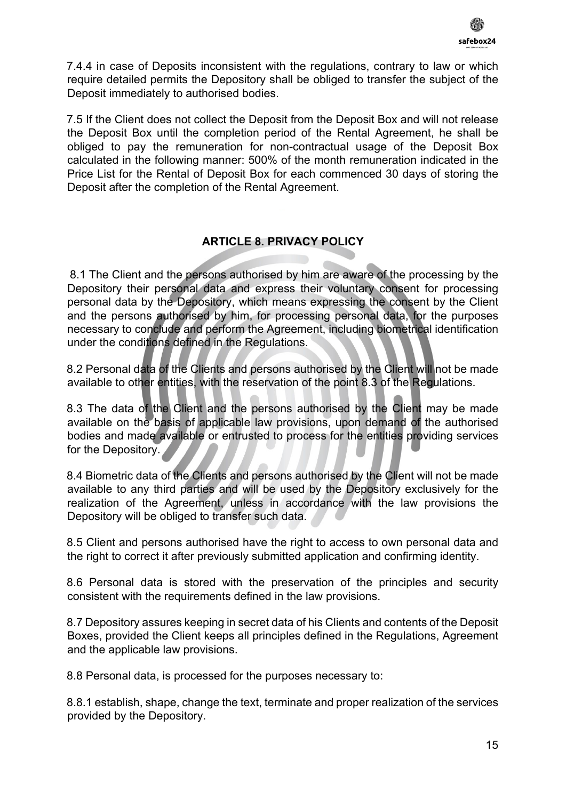

7.4.4 in case of Deposits inconsistent with the regulations, contrary to law or which require detailed permits the Depository shall be obliged to transfer the subject of the Deposit immediately to authorised bodies.

7.5 If the Client does not collect the Deposit from the Deposit Box and will not release the Deposit Box until the completion period of the Rental Agreement, he shall be obliged to pay the remuneration for non-contractual usage of the Deposit Box calculated in the following manner: 500% of the month remuneration indicated in the Price List for the Rental of Deposit Box for each commenced 30 days of storing the Deposit after the completion of the Rental Agreement.

#### **ARTICLE 8. PRIVACY POLICY**

8.1 The Client and the persons authorised by him are aware of the processing by the Depository their personal data and express their voluntary consent for processing personal data by the Depository, which means expressing the consent by the Client and the persons authorised by him, for processing personal data, for the purposes necessary to conclude and perform the Agreement, including biometrical identification under the conditions defined in the Regulations.

8.2 Personal data of the Clients and persons authorised by the Client will not be made available to other entities, with the reservation of the point 8.3 of the Regulations.

8.3 The data of the Client and the persons authorised by the Client may be made available on the basis of applicable law provisions, upon demand of the authorised bodies and made available or entrusted to process for the entities providing services for the Depository.

8.4 Biometric data of the Clients and persons authorised by the Client will not be made available to any third parties and will be used by the Depository exclusively for the realization of the Agreement, unless in accordance with the law provisions the Depository will be obliged to transfer such data.

8.5 Client and persons authorised have the right to access to own personal data and the right to correct it after previously submitted application and confirming identity.

8.6 Personal data is stored with the preservation of the principles and security consistent with the requirements defined in the law provisions.

8.7 Depository assures keeping in secret data of his Clients and contents of the Deposit Boxes, provided the Client keeps all principles defined in the Regulations, Agreement and the applicable law provisions.

8.8 Personal data, is processed for the purposes necessary to:

8.8.1 establish, shape, change the text, terminate and proper realization of the services provided by the Depository.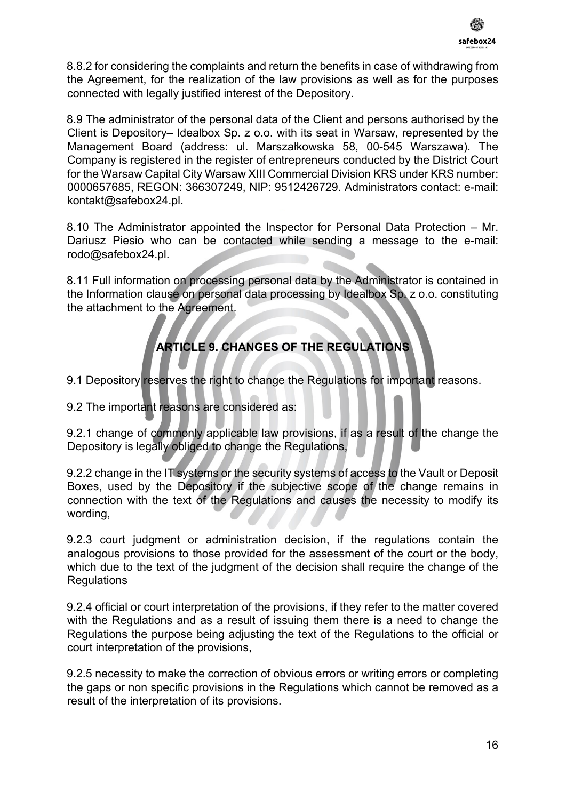

8.8.2 for considering the complaints and return the benefits in case of withdrawing from the Agreement, for the realization of the law provisions as well as for the purposes connected with legally justified interest of the Depository.

8.9 The administrator of the personal data of the Client and persons authorised by the Client is Depository– Idealbox Sp. z o.o. with its seat in Warsaw, represented by the Management Board (address: ul. Marszałkowska 58, 00-545 Warszawa). The Company is registered in the register of entrepreneurs conducted by the District Court for the Warsaw Capital City Warsaw XIII Commercial Division KRS under KRS number: 0000657685, REGON: 366307249, NIP: 9512426729. Administrators contact: e-mail: kontakt@safebox24.pl.

8.10 The Administrator appointed the Inspector for Personal Data Protection – Mr. Dariusz Piesio who can be contacted while sending a message to the e-mail: rodo@safebox24.pl.

8.11 Full information on processing personal data by the Administrator is contained in the Information clause on personal data processing by Idealbox Sp. z o.o. constituting the attachment to the Agreement.

# **ARTICLE 9. CHANGES OF THE REGULATIONS**

9.1 Depository reserves the right to change the Regulations for important reasons.

9.2 The important reasons are considered as:

9.2.1 change of commonly applicable law provisions, if as a result of the change the Depository is legally obliged to change the Regulations,

9.2.2 change in the IT systems or the security systems of access to the Vault or Deposit Boxes, used by the Depository if the subjective scope of the change remains in connection with the text of the Regulations and causes the necessity to modify its wording,

9.2.3 court judgment or administration decision, if the regulations contain the analogous provisions to those provided for the assessment of the court or the body, which due to the text of the judgment of the decision shall require the change of the **Regulations** 

9.2.4 official or court interpretation of the provisions, if they refer to the matter covered with the Regulations and as a result of issuing them there is a need to change the Regulations the purpose being adjusting the text of the Regulations to the official or court interpretation of the provisions,

9.2.5 necessity to make the correction of obvious errors or writing errors or completing the gaps or non specific provisions in the Regulations which cannot be removed as a result of the interpretation of its provisions.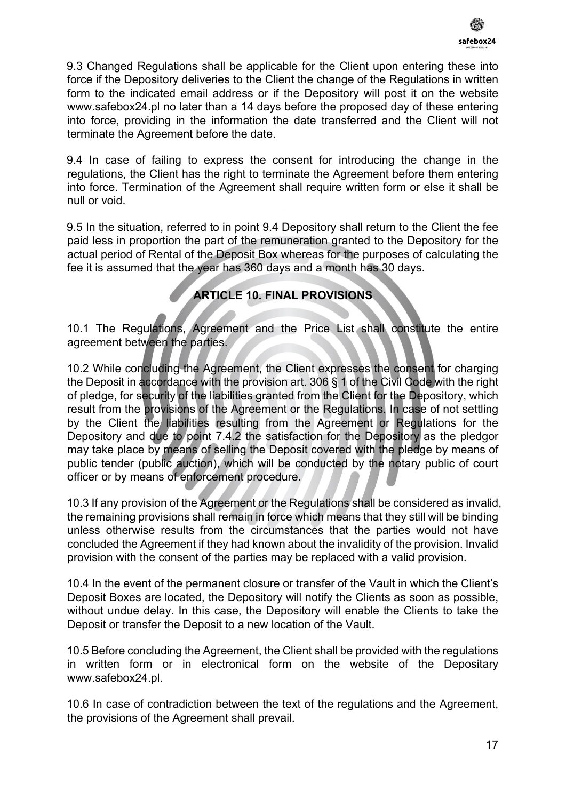

9.3 Changed Regulations shall be applicable for the Client upon entering these into force if the Depository deliveries to the Client the change of the Regulations in written form to the indicated email address or if the Depository will post it on the website www.safebox24.pl no later than a 14 days before the proposed day of these entering into force, providing in the information the date transferred and the Client will not terminate the Agreement before the date.

9.4 In case of failing to express the consent for introducing the change in the regulations, the Client has the right to terminate the Agreement before them entering into force. Termination of the Agreement shall require written form or else it shall be null or void.

9.5 In the situation, referred to in point 9.4 Depository shall return to the Client the fee paid less in proportion the part of the remuneration granted to the Depository for the actual period of Rental of the Deposit Box whereas for the purposes of calculating the fee it is assumed that the year has 360 days and a month has 30 days.

## **ARTICLE 10. FINAL PROVISIONS**

10.1 The Regulations, Agreement and the Price List shall constitute the entire agreement between the parties.

10.2 While concluding the Agreement, the Client expresses the consent for charging the Deposit in accordance with the provision art. 306 § 1 of the Civil Code with the right of pledge, for security of the liabilities granted from the Client for the Depository, which result from the provisions of the Agreement or the Regulations. In case of not settling by the Client the liabilities resulting from the Agreement or Regulations for the Depository and due to point 7.4.2 the satisfaction for the Depository as the pledgor may take place by means of selling the Deposit covered with the pledge by means of public tender (public auction), which will be conducted by the notary public of court officer or by means of enforcement procedure.

10.3 If any provision of the Agreement or the Regulations shall be considered as invalid, the remaining provisions shall remain in force which means that they still will be binding unless otherwise results from the circumstances that the parties would not have concluded the Agreement if they had known about the invalidity of the provision. Invalid provision with the consent of the parties may be replaced with a valid provision.

10.4 In the event of the permanent closure or transfer of the Vault in which the Client's Deposit Boxes are located, the Depository will notify the Clients as soon as possible, without undue delay. In this case, the Depository will enable the Clients to take the Deposit or transfer the Deposit to a new location of the Vault.

10.5 Before concluding the Agreement, the Client shall be provided with the regulations in written form or in electronical form on the website of the Depositary www.safebox24.pl.

10.6 In case of contradiction between the text of the regulations and the Agreement, the provisions of the Agreement shall prevail.